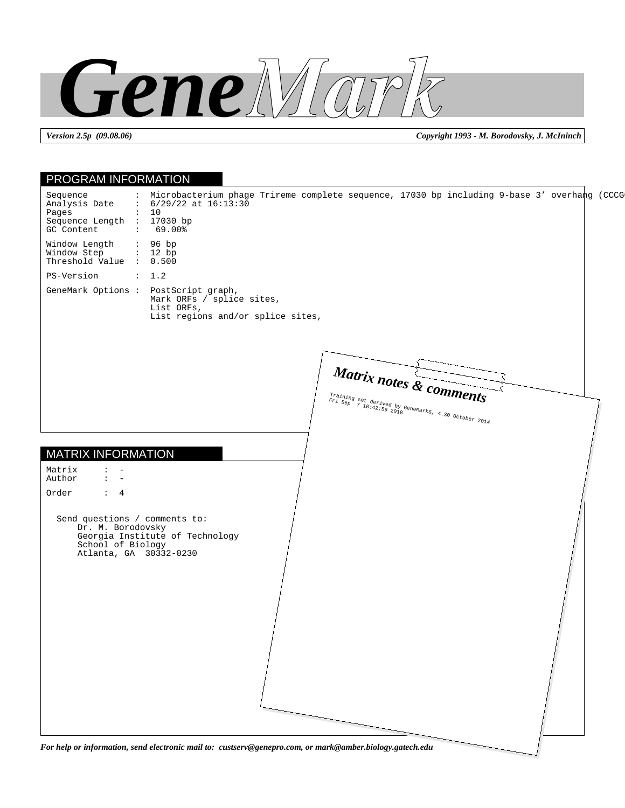

*Version 2.5p (09.08.06) Copyright 1993 - M. Borodovsky, J. McIninch*

| Sequence<br>Analysis Date<br>$: 6/29/22$ at $16:13:30$<br>: 10<br>Pages<br>Sequence Length : 17030 bp<br>GC Content<br>69.00%<br>$\mathcal{Z}^{\text{max}}$<br>Window Length<br>: 96 bp<br>Window Step<br>: 12 bp<br>Threshold Value : 0.500<br>PS-Version<br>: 1.2<br>GeneMark Options : PostScript graph,<br>Mark ORFs / splice sites,<br>List ORFs,<br>List regions and/or splice sites,<br>Matrix notes & comments<br>$r_{\text{training set}}$ and $r_{\text{avg}}$ are derived by GeneMarks, 4.30 October 2014<br><b>MATRIX INFORMATION</b><br>Matrix<br>$\ddot{\phantom{a}}$<br>Author<br>$\mathbf{I} = \mathbf{I}$<br>Order<br>$\therefore$ 4<br>Send questions / comments to:<br>Dr. M. Borodovsky<br>Georgia Institute of Technology<br>School of Biology<br>Atlanta, GA 30332-0230 | : Microbacterium phage Trireme complete sequence, 17030 bp including 9-base 3' overhang (CCCG | PROGRAM INFORMATION |  |
|-----------------------------------------------------------------------------------------------------------------------------------------------------------------------------------------------------------------------------------------------------------------------------------------------------------------------------------------------------------------------------------------------------------------------------------------------------------------------------------------------------------------------------------------------------------------------------------------------------------------------------------------------------------------------------------------------------------------------------------------------------------------------------------------------|-----------------------------------------------------------------------------------------------|---------------------|--|
|                                                                                                                                                                                                                                                                                                                                                                                                                                                                                                                                                                                                                                                                                                                                                                                               |                                                                                               |                     |  |
|                                                                                                                                                                                                                                                                                                                                                                                                                                                                                                                                                                                                                                                                                                                                                                                               |                                                                                               |                     |  |
|                                                                                                                                                                                                                                                                                                                                                                                                                                                                                                                                                                                                                                                                                                                                                                                               |                                                                                               |                     |  |
|                                                                                                                                                                                                                                                                                                                                                                                                                                                                                                                                                                                                                                                                                                                                                                                               |                                                                                               |                     |  |
|                                                                                                                                                                                                                                                                                                                                                                                                                                                                                                                                                                                                                                                                                                                                                                                               |                                                                                               |                     |  |
|                                                                                                                                                                                                                                                                                                                                                                                                                                                                                                                                                                                                                                                                                                                                                                                               |                                                                                               |                     |  |
|                                                                                                                                                                                                                                                                                                                                                                                                                                                                                                                                                                                                                                                                                                                                                                                               |                                                                                               |                     |  |
|                                                                                                                                                                                                                                                                                                                                                                                                                                                                                                                                                                                                                                                                                                                                                                                               |                                                                                               |                     |  |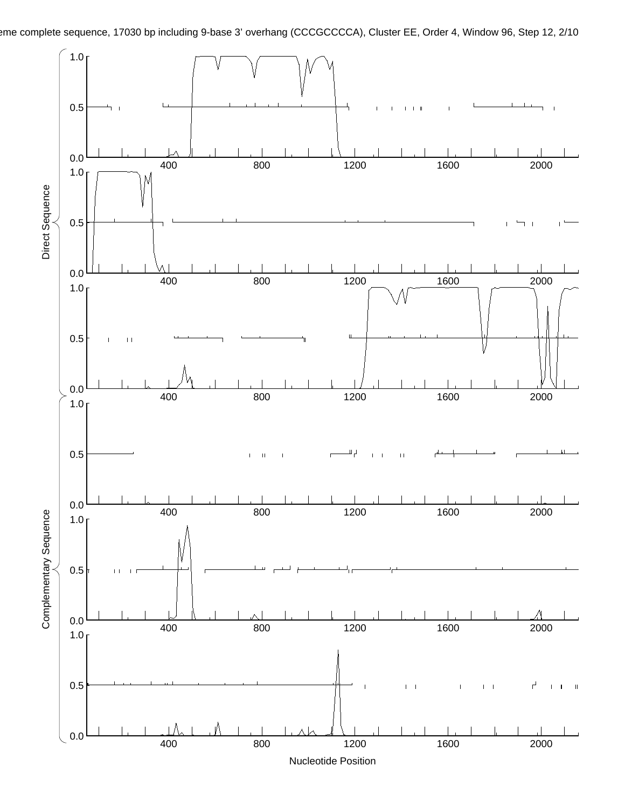

Nucleotide Position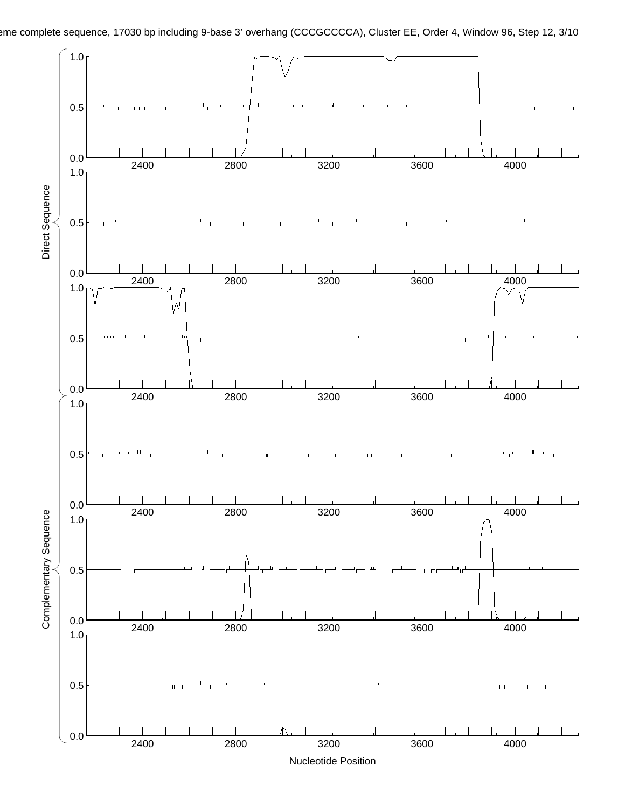

Nucleotide Position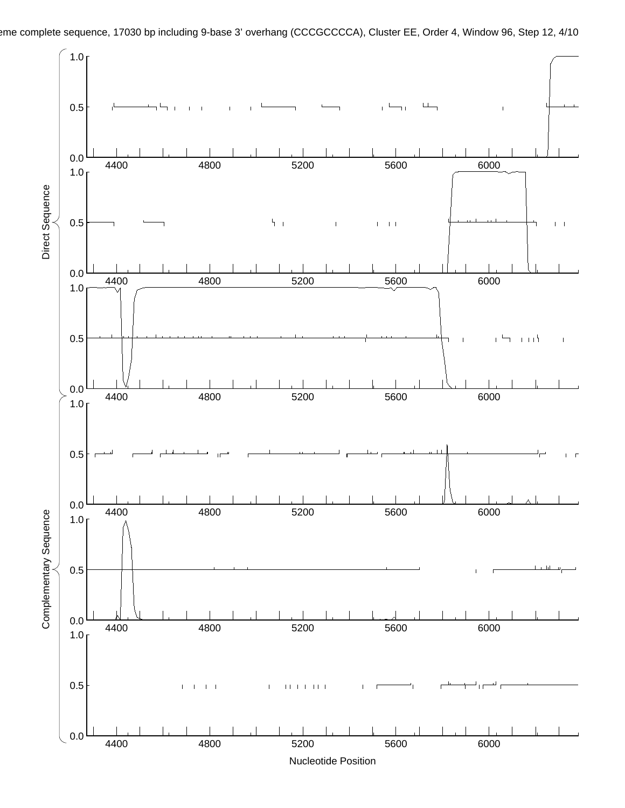

eme complete sequence, 17030 bp including 9-base 3' overhang (CCCGCCCCA), Cluster EE, Order 4, Window 96, Step 12, 4/10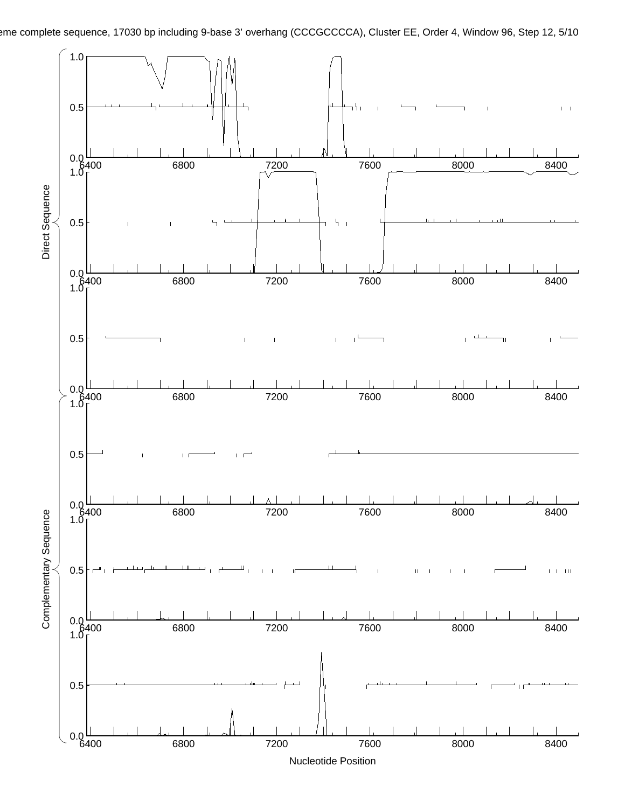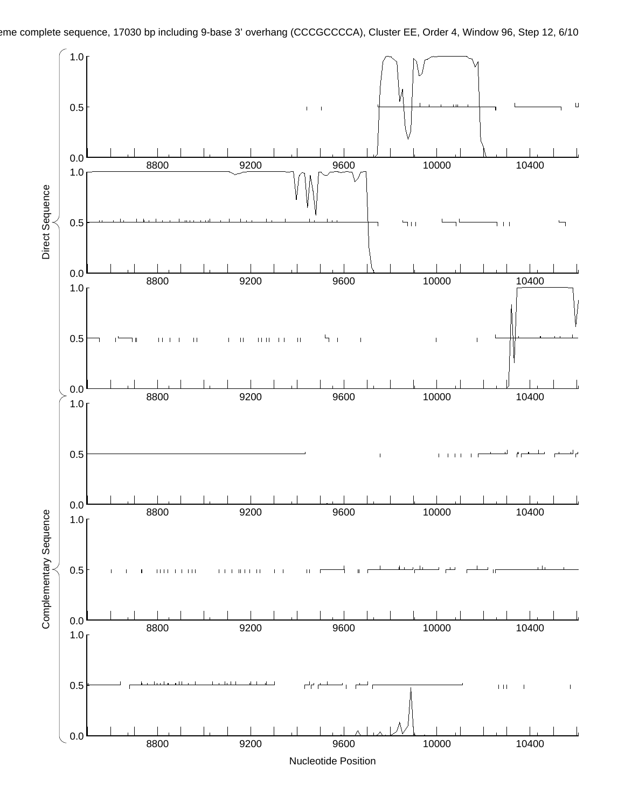

eme complete sequence, 17030 bp including 9-base 3' overhang (CCCGCCCCA), Cluster EE, Order 4, Window 96, Step 12, 6/10

Nucleotide Position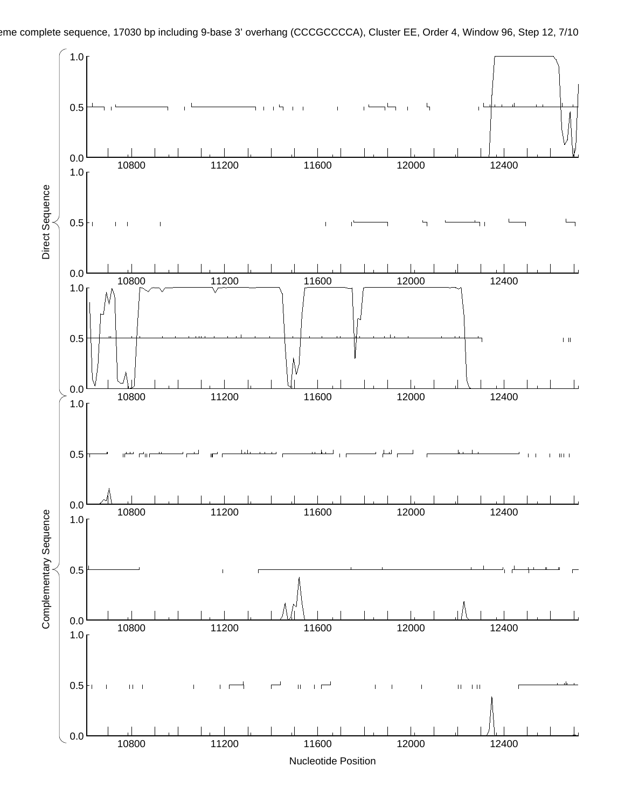![](_page_6_Figure_0.jpeg)

eme complete sequence, 17030 bp including 9-base 3' overhang (CCCGCCCCA), Cluster EE, Order 4, Window 96, Step 12, 7/10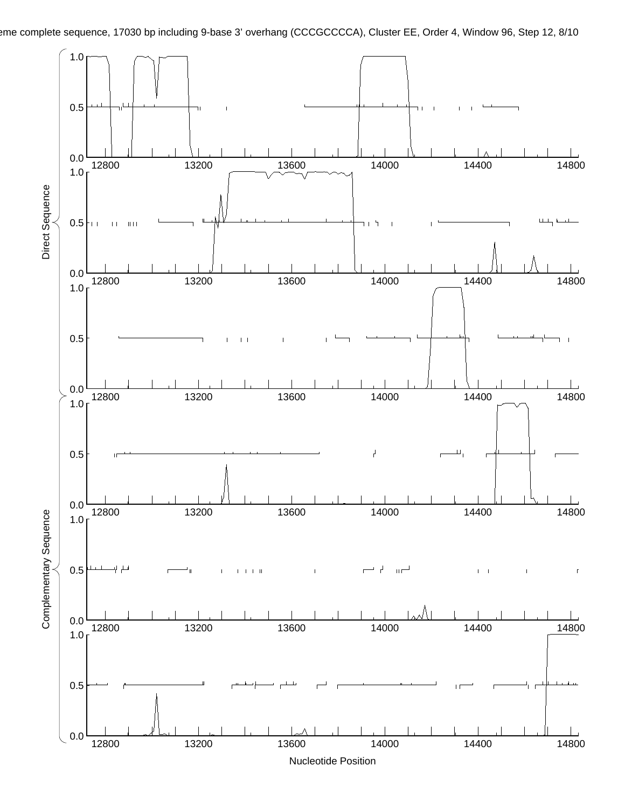![](_page_7_Figure_1.jpeg)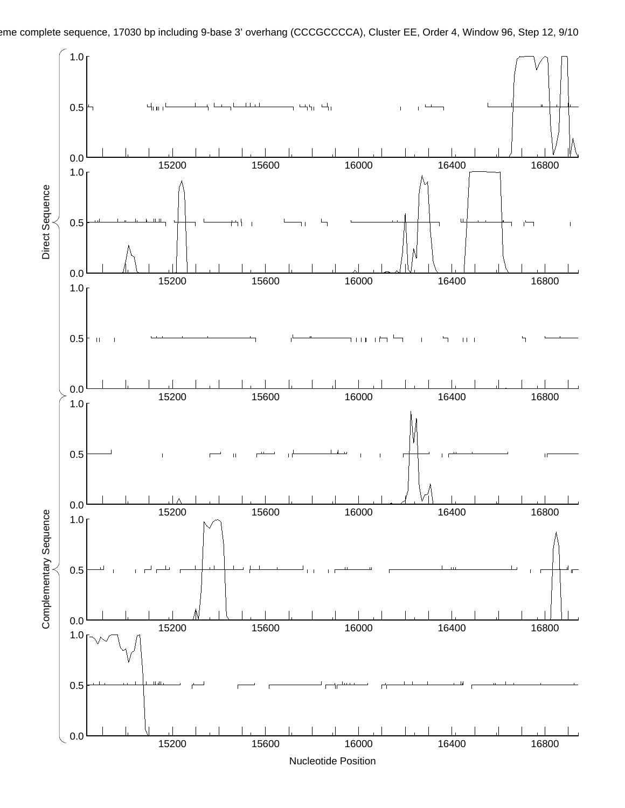![](_page_8_Figure_1.jpeg)